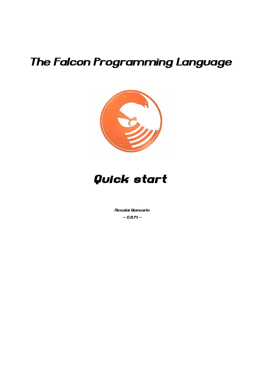# The Falcon Programming Language





Niccolai Giancarlo  $- 0.8JH -$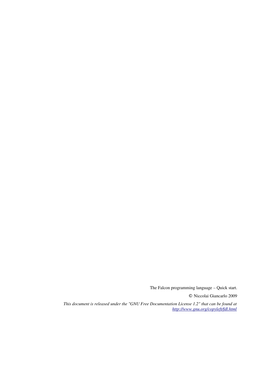© Niccolai Giancarlo 2009

*This document is released under the "GNU Free Documentation License 1.2" that can be found at <http://www.gnu.org/copyleft/fdl.html>*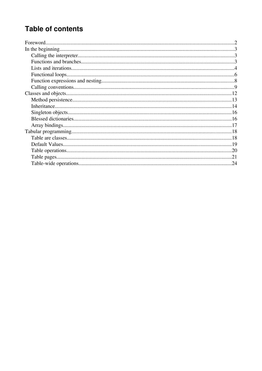## **Table of contents**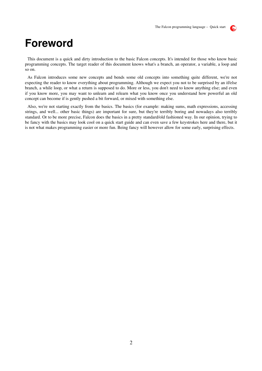

## **Foreword**

This document is a quick and dirty introduction to the basic Falcon concepts. It's intended for those who know basic programming concepts. The target reader of this document knows what's a branch, an operator, a variable, a loop and so on.

As Falcon introduces some new concepts and bends some old concepts into something quite different, we're not expecting the reader to know everything about programming. Although we expect you not to be surprised by an if/else branch, a while loop, or what a return is supposed to do. More or less, you don't need to know anything else; and even if you know more, you may want to unlearn and relearn what you know once you understand how powerful an old concept can become if is gently pushed a bit forward, or mixed with something else.

Also, we're not starting exactly from the basics. The basics (for example: making sums, math expressions, accessing strings, and well... other basic things) are important for sure, but they're terribly boring and nowadays also terribly standard. Or to be more precise, Falcon does the basics in a pretty standard/old fashioned way. In our opinion, trying to be fancy with the basics may look cool on a quick start guide and can even save a few keystrokes here and there, but it is not what makes programming easier or more fun. Being fancy will however allow for some early, surprising effects.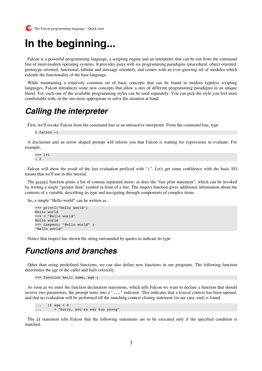

# **In the beginning...**

Falcon is a powerful programming language, a scripting engine and an interpreter that can be run from the command line of most modern operating systems. It provides users with six programming paradigms (procedural, object oriented, prototype oriented, functional, tabular and message oriented), and comes with an ever growing set of modules which extends the functionality of the base language.

While maintaining a relatively common set of basic concepts that can be found in modern typeless scripting languages, Falcon introduces some new concepts that allow a mix of different programming paradigms in an unique blend. Yet, each one of the available programming styles can be used separately. You can pick the style you feel most comfortable with, or the one more appropriate to solve the situation at hand.

#### **Calling the interpreter**

First, we'll invoke Falcon from the command line as an interactive interpreter. From the command line, type

```
$ falcon -i
```
A disclaimer and an arrow shaped prompt will inform you that Falcon is waiting for expressions to evaluate. For example,

>>> 1+1 : 2

Falcon will show the result of the last evaluation prefixed with ":". Let's get some confidence with the basic I/O means that we'll use in this tutorial.

The printl function prints a list of comma separated items; as does the "fast print statement", which can be invoked by writing a single "greater than" symbol in front of a line. The inspect function gives additional information about the contents of a variable, describing its type and navigating through components of complex items.

So, a simple "Hello world" can be written as...

```
>>> printl("Hello world")
Hello world
>>> > "Hello world"
Hello world
>>> inspect( "Hello world" )
"Hello world"
```
Notice that inspect has shown the string surrounded by quotes to indicate its type.

#### **Functions and branches**

Other than using predefined functions, we can also define new functions in our programs. The following function determines the age of the caller and hails correctly.

```
>>> function hail( name, age )
```
As soon as we enter the function declaration statements, which tells Falcon we want to declare a function that should receive two parameters, the prompt turns into a "..." indicator. This indicates that a lexical context has been opened, and that no evaluation will be performed till the matching context closing statement (in our case, end) is found.

 $\ldots$  if age < 0 ... > "Sorry, you're way too young"

The if statement tells Falcon that the following statements are to be executed only if the specified condition is matched.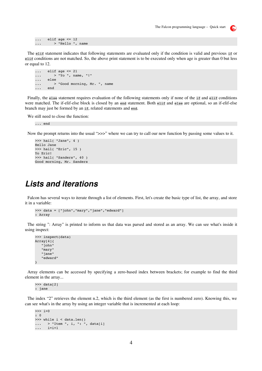$\mathbf{S}_n$ 

 $\ldots$  elif age  $\leq 12$ ... > "Hello ", name

The elif statement indicates that following statements are evaluated only if the condition is valid and previous if or elif conditions are not matched. So, the above print statement is to be executed only when age is greater than 0 but less or equal to 12.

```
\cdots elif age \leq 21\ldots > "Yo ", name, "!"
...   else
... > "Good morning, Mr. ", name
...   end
```
Finally, the else statement requires evaluation of the following statements only if none of the if and elif conditions were matched. The if-elif-else block is closed by an end statement. Both elif and else are optional, so an if-elif-else branch may just be formed by an if, related statements and end.

We still need to close the function:

... end

Now the prompt returns into the usual " $>>$ " where we can try to call our new function by passing some values to it.

```
>>> hail( "Jane", 4 )
Hello Jane
>>> hail( "Eric", 15 )
Yo Eric!
>>> hail( "Sanders", 40 )
Good morning, Mr. Sanders
```
#### **Lists and iterations**

Falcon has several ways to iterate through a list of elements. First, let's create the basic type of list, the array, and store it in a variable:

```
>>> data = ["john","mary","jane","edward"]
: Array
```
The string ": Array" is printed to inform us that data was parsed and stored as an array. We can see what's inside it using inspect:

```
>>> inspect(data)
Array[4]{
       "john"
       "mary"
       "jane"
       "edward"
}
```
Array elements can be accessed by specifying a zero-based index between brackets; for example to find the third element in the array...

>>> data[2] : jane

The index "2" retrieves the element n.2, which is the third element (as the first is numbered zero). Knowing this, we can see what's in the array by using an integer variable that is incremented at each loop:

```
>>> i=0
: 0
>>> while i < data.len()
... > "Item ", i, ": ", data[i]
\cdots i=i+1
```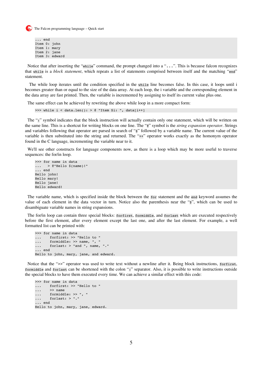```
... end
Item 0: john
Item 1: mary
Item 2: jane
Item 3: edward
```
Notice that after inserting the "while" command, the prompt changed into a "...". This is because falcon recognizes that while is a *block statement*, which repeats a list of statements comprised between itself and the matching "end" statement.

 The while loop iterates until the condition specified in the while line becomes false. In this case, it loops until i becomes greater than or equal to the size of the data array. At each loop, the i variable and the corresponding element in the data array are fast printed. Then, the variable is incremented by assigning to itself its current value plus one.

The same effect can be achieved by rewriting the above while loop in a more compact form:

>>> while  $i <$  data.len(): > @ "Item \$i: ", data[i++]

The ":" symbol indicates that the block instruction will actually contain only one statement, which will be written on the same line. This is a shortcut for writing blocks on one line. The "@" symbol is the *string expansion operator*. Strings and variables following that operator are parsed in search of "\$" followed by a variable name. The current value of the variable is then substituted into the string and returned. The "++" operator works exactly as the homonym operator found in the C language, incrementing the variable near to it.

We'll see other constructs for language components now, as there is a loop which may be more useful to traverse sequences: the for/in loop.

```
>>> for name in data
\ldots > @"Hello $(name)!"
... end
Hello john!
Hello mary!
Hello jane!
Hello edward!
```
The variable name, which is specified inside the block between the for statement and the end keyword assumes the value of each element in the data vector in turn. Notice also the parenthesis near the "\$", which can be used to disambiguate variable names in string expansions.

The for/in loop can contain three special blocks: forfirst, formiddle, and forlast which are executed respectively before the first element, after every element except the last one, and after the last element. For example, a well formatted list can be printed with:

```
>>> for name in data
...    forfirst: >> "Hello to "
...    formiddle: >> name, ", "
...    forlast: > "and ", name, "."
... end
Hello to john, mary, jane, and edward.
```
Notice that the ">>" operator was used to write text without a newline after it. Being block instructions, forfirst, formiddle and forlast can be shortened with the colon ":" separator. Also, it is possible to write instructions outside the special blocks to have them executed every time. We can achieve a similar effect with this code:

```
>>> for name in data
...    forfirst: >> "Hello to "
\ldots \gg name
...    formiddle: >> ", "
...    forlast: > "."
... end
Hello to john, mary, jane, edward.
```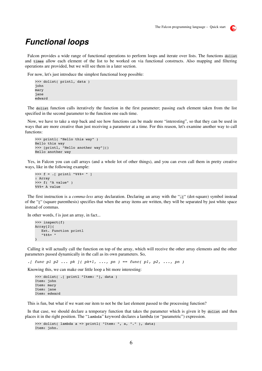

## **Functional loops**

Falcon provides a wide range of functional operations to perform loops and iterate over lists. The functions dolist and times allow each element of the list to be worked on via functional constructs. Also mapping and filtering operations are provided, but we will see them in a later section.

For now, let's just introduce the simplest functional loop possible:

```
>>> dolist( printl, data )
john
mary
jane
edward
```
The dolist function calls iteratively the function in the first parameter; passing each element taken from the list specified in the second parameter to the function one each time.

Now, we have to take a step back and see how functions can be made more "interesting", so that they can be used in ways that are more creative than just receiving a parameter at a time. For this reason, let's examine another way to call functions:

```
>>> printl( "Hello this way" )
Hello this way
>>> [printl, "Hello another way"]()
Hello another way
```
Yes, in Falcon you can call arrays (and a whole lot of other things), and you can even call them in pretty creative ways, like in the following example:

```
>>> f = .[ printl "%%%= " ]
: Array
>>> f( "A value" )
%%%= A value
```
The first instruction is a *comma-less* array declaration. Declaring an array with the ".[" (dot-square) symbol instead of the "[" (square parenthesis) specifies that when the array items are written, they will be separated by just white space instead of commas.

In other words, f is just an array, in fact...

```
>>> inspect(f)
Array[2]{
      Ext. Function printl
      "%%%= "
}
```
Calling it will actually call the function on top of the array, which will receive the other array elements and the other parameters passed dynamically in the call as its own parameters. So,

*.[ func p1 p2 ... pk ]( pk+1, ..., pn ) == func( p1, p2, ..., pn )*

Knowing this, we can make our little loop a bit more interesting:

```
>>> dolist( .[ printl "Item: "], data )
Item: john
Item: mary
Item: jane
Item: edward
```
This is fun, but what if we want our item to not be the last element passed to the processing function?

In that case, we should declare a temporary function that takes the parameter which is given it by dolist and then places it in the right position. The "lambda" keyword declares a lambda (or "parametric") expression.

```
>>> dolist( lambda a => printl( "Item: ", a, "." ), data)
Item: john.
```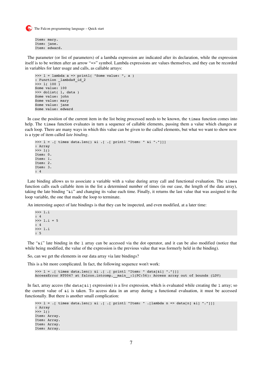```
Item: mary.
Item: jane.
Item: edward.
```
The parameter (or list of parameters) of a lambda expression are indicated after its declaration, while the expression itself is to be written after an arrow "=>" symbol. Lambda expressions are values themselves, and they can be recorded in variables for later usage and calls, as callable arrays:

```
\gg 1 = lambda a => printl( "Some value: ", a )
: Function _lambda#_id_2
>>> l( 100 )
Some value: 100
>>> dolist( l, data )
Some value: john
Some value: mary
Some value: jane
Some value: edward
```
In case the position of the current item in the list being processed needs to be known, the times function comes into help. The times function evaluates in turn a sequence of callable elements, passing them a value which changes at each loop. There are many ways in which this value can be given to the called elements, but what we want to show now is a type of item called *late binding*.

```
>>> 1 = .[ times data.len() &i .[ .[ printl "Item: " &i "."]]]
: Array
>>> l()
Item: 0.
Item: 1.
Item: 2.
Item: 3.
: 4
```
Late binding allows us to associate a variable with a value during array call and functional evaluation. The times function calls each callable item in the list a determined number of times (in our case, the length of the data array), taking the late binding "&i" and changing its value each time. Finally, it returns the last value that was assigned to the loop variable, the one that made the loop to terminate.

An interesting aspect of late bindings is that they can be inspected, and even modified, at a later time:

>>> l.i : 4  $>> 1$ .  $i = 5$ : 4 >>> l.i : 5

The "&i" late binding in the l array can be accessed via the dot operator, and it can be also modified (notice that while being modified, the value of the expression is the previous value that was formerly held in the binding).

So, can we get the elements in our data array via late bindings?

This is a bit more complicated. In fact, the following sequence won't work:

```
>>> 1 = .[ times data.len() &i .[ .[ printl "Item: " data[&i] "."]]]
AccessError RT0047 at falcon.intcomp.__main_:1(PC:56): Access array out of bounds (LDV)
```
In fact, array access (the data[ $\&i$ ] expression) is a live expression, which is evaluated while creating the 1 array; so the current value of &i is taken. To access data in an array during a functional evaluation, it must be accessed functionally. But there is another small complication:

```
>>> l = .[ times data.len() &i .[ .[ printl "Item: " .[lambda n => data[n] &i] "."]]]
: Array
>> 1()Item: Array.
Item: Array.
Item: Array.
Item: Array.
```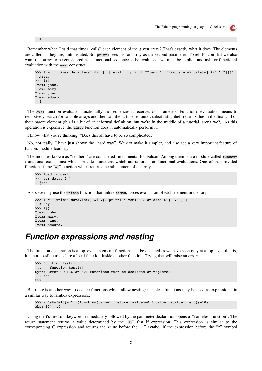

Remember when I said that times "calls" each element of the given array? That's exactly what it does. The elements are called as they are, untranslated. So, printl sees just an array as the second parameter. To tell Falcon that we also want that array to be considered as a functional sequence to be evaluated, we must be explicit and ask for functional evaluation with the eval construct:

```
>>> l = .[ times data.len() &i .[ .[ eval .[ printl "Item: " .[lambda n => data[n] &i] "."]]]]
: Array
\gg > 1()Item: john.
Item: mary.
Item: jane.
Item: edward.
: 4
```
The eval function evaluates functionally the sequences it receives as parameters. Functional evaluation means to recursively search for callable arrays and then call them, inner to outer, substituting their return value in the final call of their parent element (this is a bit of an informal definition, but we're in the middle of a tutorial, aren't we?). As this operation is expensive, the times function doesn't automatically perform it.

I know what you're thinking. "Does this all have to be so complicated?"

No, not really. I have just shown the "hard way". We can make it simpler, and also see a very important feature of Falcon: module loading.

The modules known as "feathers" are considered fundamental for Falcon. Among them is a a module called funcext (functional extensions) which provides functions which are tailored for functional evaluations. One of the provided functions is the "at" function which returns the nth element of an array.

```
>>> load funcext
>>> at( data, 2 )
: jane
```
: 4

Also, we may use the xtimes function that unlike times, forces evaluation of each element in the loop.

```
>>> l = .[xtimes data.len() &i .[.[printl "Item: " .[at data &i] "." ]]]
: Array
>>> l()
Item: john.
Item: mary.
Item: jane.
Item: edward.
```
#### **Function expressions and nesting**

The function declaration is a top level statement; functions can be declared as we have seen only at a top level, that is, it is not possible to declare a local function inside another function. Trying that will raise an error:

```
>>> function test()
... function test1()
SyntaxError CO0136 at 40: Functions must be declared at toplevel
... end
>>>
```
But there is another way to declare functions which allow nesting: nameless functions may be used as expressions, in a similar way to lambda expressions:

```
\Rightarrow >> \Rightarrow "abs(-10)= ", (function(value); return (value>=0 ? value: -value); end)(-10)
abs(-10) = 10
```
Using the function keyword immediately followed by the parameter declaration opens a "nameless function". The return statement returns a value determined by the "?:" fast if expression. This expression is similar to the corresponding C expression and returns the value before the ":" symbol if the expression before the "?" symbol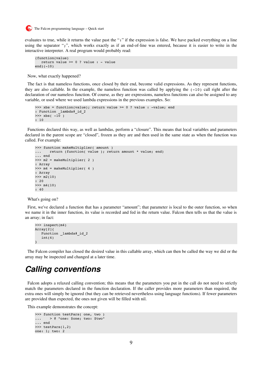

evaluates to true, while it returns the value past the ":" if the expression is false. We have packed everything on a line using the separator ";", which works exactly as if an end-of-line was entered, because it is easier to write in the interactive interpreter. A real program would probably read:

```
(function(value)
  return value >= 0 ? value : - value
end)(-10)
```
Now, what exactly happened?

The fact is that nameless functions, once closed by their end, become valid expressions. As they represent functions, they are also callable. In the example, the nameless function was called by applying the  $(-10)$  call right after the declaration of our nameless function. Of course, as they are expressions, nameless functions can also be assigned to any variable, or used where we used lambda expressions in the previous examples. So:

```
\gg xbs = function(value); return value \ge 0 ? value : -value; end
: Function _lambda#_id_2
\gg \times \frac{x}{s} (-10): 10
```
Functions declared this way, as well as lambdas, perform a "closure". This means that local variables and parameters declared in the parent scope are "closed", frozen as they are and then used in the same state as when the function was called. For example:

```
>>> function makeMultiplier( amount )
... return (function( value ); return amount * value; end)
... end
>>> m2 = makeMultiplier( 2 )
: Array
\gg \gg \text{m4} = makeMultiplier( 4 )
: Array
>> m2(10)
: 20
>> m4(10)
: 40
```
What's going on?

First, we've declared a function that has a parameter "amount"; that parameter is local to the outer function, so when we name it in the inner function, its value is recorded and fed in the return value. Falcon then tells us that the value is an array; in fact:

```
>>> inspect(m4)
Array[2]{
      Function _lambda#_id_2
   int(4)}
```
The Falcon compiler has closed the desired value in this callable array, which can then be called the way we did or the array may be inspected and changed at a later time.

#### **Calling conventions**

Falcon adopts a relaxed calling convention; this means that the parameters you put in the call do not need to strictly match the parameters declared in the function declaration. If the caller provides more parameters than required, the extra ones will simply be ignored (but they can be retrieved nevertheless using language functions). If fewer parameters are provided than expected, the ones not given will be filled with nil.

This example demonstrates the concept:

```
>>> function testPars( one, two )
... > @ "one: $one; two: $two"
... end
>>> testPars(1,2)
one: 1; two: 2
```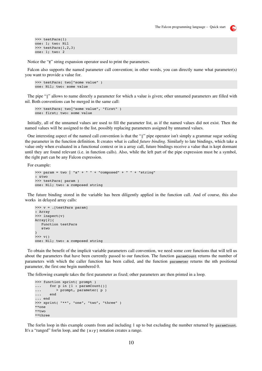```
>>> testPars(1)
one: 1; two: Nil
>>> testPars(1,2,3)
one: 1; two: 2
```
Notice the "@" string expansion operator used to print the parameters.

Falcon also supports the named parameter call convention; in other words, you can directly name what parameter(s) you want to provide a value for.

```
>>> testPars( two|"some value" )
one: Nil; two: some value
```
The pipe "|" allows to name directly a parameter for which a value is given; other unnamed parameters are filled with nil. Both conventions can be merged in the same call:

```
>>> testPars( two|"some value", "first" )
one: first; two: some value
```
Initially, all of the unnamed values are used to fill the parameter list, as if the named values did not exist. Then the named values will be assigned to the list, possibly replacing parameters assigned by unnamed values.

One interesting aspect of the named call convention is that the "|" pipe operator isn't simply a grammar sugar seeking the parameter in the function definition. It creates what is called *future binding*. Similarly to late bindings, which take a value only when evaluated in a functional context or in a array call, future bindings receive a value that is kept dormant until they are found relevant (i.e. in function calls). Also, while the left part of the pipe expression must be a symbol, the right part can be any Falcon expression.

For example:

```
>>> param = two | "a" + " " + "composed" + " " + "string"
: &two
>>> testPars( param )
one: Nil; two: a composed string
```
The future binding stored in the variable has been diligently applied in the function call. And of course, this also works in delayed array calls:

```
>>> v = .[testParts param]: Array
>>> inspect(v)
Array[2]\{   Function testPars
      &two
}
>>> v()
one: Nil; two: a composed string
```
To obtain the benefit of the implicit variable parameters call convention, we need some core functions that will tell us about the parameters that have been currently passed to our function. The function paramCount returns the number of parameters with which the caller function has been called, and the function parameter returns the nth positional parameter, the first one begin numbered 0.

The following example takes the first parameter as fixed; other parameters are then printed in a loop.

```
>>> function xprint( prompt )
... for p in [1 : paramCount()]
... > prompt, parameter( p )
...    end
... end
>>> xprint( "**", "one", "two", "three" )
**one
**two
**three
```
The for/in loop in this example counts from and including 1 up to but excluding the number returned by paramcount. It's a "ranged" for/in loop, and the  $[x:y]$  notation creates a range.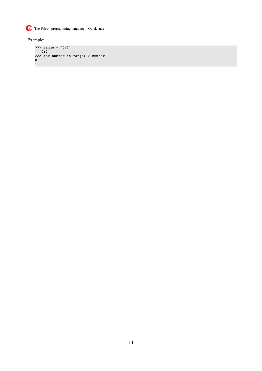

Example:

```
>>> range = [0:2]
: [0:2]
>>> for number in range: > number
0
1
```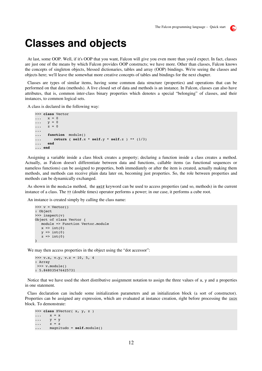#### $\mathbf{E}$

## **Classes and objects**

At last, some OOP. Well, if it's OOP that you want, Falcon will give you even more than you'd expect. In fact, classes are just one of the means by which Falcon provides OOP constructs; we have more. Other than classes, Falcon knows the concepts of singleton objects, blessed dictionaries, tables and array (OOP) bindings. We're seeing the classes and objects here; we'll leave the somewhat more creative concepts of tables and bindings for the next chapter.

Classes are types of similar items, having some common data structure (properties) and operations that can be performed on that data (methods). A live closed set of data and methods is an instance. In Falcon, classes can also have attributes, that is, common inter-class binary properties which denotes a special "belonging" of classes, and their instances, to common logical sets.

A class is declared in the following way:

```
>>> class Vector
\cdots x = 0\cdots y = 0\cdots z = 0...
... function module()
...      return ( self.x * self.y * self.z ) ** (1/3)
...   end
... end
```
Assigning a variable inside a class block creates a property; declaring a function inside a class creates a method. Actually, as Falcon doesn't differentiate between data and functions, callable items (as functional sequences or nameless functions) can be assigned to properties, both immediately or after the item is created, actually making them methods, and methods can receive plain data later on, becoming just properties. So, the role between properties and methods can be dynamically exchanged.

As shown in the module method, the self keyword can be used to access properties (and so, methods) in the current instance of a class. The \*\* (double times) operator performs a power; in our case, it performs a cube root.

An instance is created simply by calling the class name:

```
\gg v = Vector()
: Object
>>> inspect(v)
Object of class Vector {
      module => Function Vector.module
   x \Rightarrow int(0)y \Rightarrow int(0)z \Rightarrow \text{int}(0)}
```
We may then access properties in the object using the "dot accessor":

```
>> v.x, v.y, v.z = 10, 5, 4: Array
 >>> v.module()
: 5.848035476425731
```
Notice that we have used the short distributive assignment notation to assign the three values of  $x$ ,  $y$  and  $z$  properties in one statement.

Class declaration can include some initialization parameters and an initialization block (a sort of constructor). Properties can be assigned any expression, which are evaluated at instance creation, right before processing the init block. To demonstrate:

```
>>> class XVector( x, y, z )
\cdots x = x\cdots y = y\cdots \overline{z} = \overline{z}...    magnitudo = self.module()
```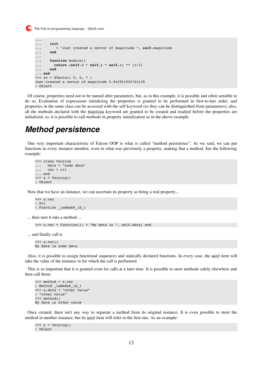```
...
...    init
... > "Just created a vector of magnitude ", self.magnitudo
...    end
...
...    function module()
...      return (self.x * self.y * self.z) ** (1/3)
...    end
... end
>> xy = XVector( 5, 6, 7 )Just created a vector of magnitude 5.943921952763129
: Object
```
Of course, properties need not to be named after parameters, but, as in this example, it is possible and often sensible to do so. Evaluation of expressions initializing the properties is granted to be performed in first-to-last order, and properties in the same class can be accessed with the self keyword (so they can be distinguished from parameters); also, all the methods declared with the function keyword are granted to be created and readied before the properties are initialized; so, it is possible to call methods in property initialization as in the above example.

#### **Method persistence**

One very important characteristic of Falcon OOP is what is called "method persistence". As we said, we can put functions in every instance member, even in what was previously a property, making that a method. See the following example:

```
>>> class Varying
...   data = "some data"
\ldots var = nil
... end
\gg \times = Varying()
: Object
```
Now that we have an instance, we can ascertain its property as being a real property...

```
>>> x.var
: Nil
: Function lambda# id 1
```
... then turn it into a method ...

```
>>> x.var = function(); > "My data is ", self.data; end
```
... and finally call it.

```
>>> x.var()
My data is some data
```
Also, it is possible to assign functional sequences and statically declared functions. In every case, the self item will take the value of the instance in for which the call is performed.

This is so important that it is granted even for calls at a later time. It is possible to store methods safely elsewhere and then call them:

```
>>> method = x.var
: Method lambda# id 1
>>> x.data = "other value"
: "other value"
>>> method()
My data is other value
```
Once created, there isn't any way to separate a method from its original instance. It is even possible to store the method in another instance, but its self item will refer to the first one. As an example:

```
\gg y = Varying()
: Object
```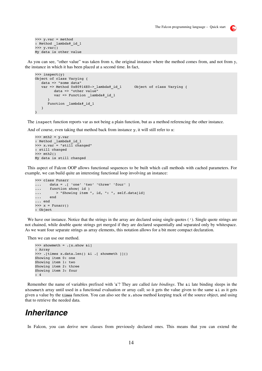```
>>> y.var = method
: Method lambda#_id_1
\gg y.var()
My data is other value
```
As you can see, "other value" was taken from x, the original instance where the method comes from, and not from y, the instance in which it has been placed at a second time. In fact,

```
>>> inspect(y)
Object of class Varying {
      data => "some data"
   var => Method 0x80914E0-> lambda# id 1 0bject of class Varying {
                  data => "other value"
                  var => Function _lambda#_id_1
            }
            Function _lambda#_id_1
      }
}
```
The inspect function reports var as not being a plain function, but as a method referencing the other instance.

And of course, even taking that method back from instance y, it will still refer to x:

```
\gg mth2 = y.var
: Method _lambda#_id_1
\Rightarrow x.var = "still changed"
: still changed
>>> mth2()
My data is still changed
```
This aspect of Falcon OOP allows functional sequences to be built which call methods with cached parameters. For example, we can build quite an interesting functional loop involving an instance:

```
>>> class Funarr
...    data = .[ 'one' 'two' 'three' 'four' ]
... function show( id )
... > "Showing item ", id, ": ", self.data[id]
...    end
... end
\gg \times = Funarr()
: Object
```
We have our instance. Notice that the strings in the array are declared using single quotes ( $\cdot$ ). Single quote strings are not chained, while double quote strings get merged if they are declared sequentially and separated only by whitespace. As we want four separate strings as array elements, this notation allows for a bit more compact declaration.

Then we can use our method.

```
>>> showmeth = .[x.show &i]
: Array
>>> .[times x.data.len() &i .[ showmeth ]]()
Showing item 0: one
Showing item 1: two
Showing item 2: three
Showing item 3: four
: 4
```
Remember the name of variables prefixed with '&'? They are called *late bindings*. The &i late binding sleeps in the showmeth array until used in a functional evaluation or array call; so it gets the value given to the same &i as it gets given a value by the times function. You can also see the x, show method keeping track of the source object, and using that to retrieve the needed data.

#### **Inheritance**

In Falcon, you can derive new classes from previously declared ones. This means that you can extend the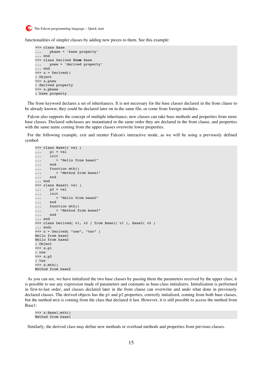

functionalities of simpler classes by adding new pieces to them. See this example:

```
>>> class Base
...    pbase = 'base property'
... end
>>> class Derived from Base
...    pnew = 'derived property'
... end
\gg \times = Derived()
: Object
>>> x.pnew
: derived property
>>> x.pbase
: base property
```
The from keyword declares a set of inheritances. It is not necessary for the base classes declared in the from clause to be already known; they could be declared later on in the same file, or come from foreign modules.

Falcon also supports the concept of multiple inheritance; new classes can take base methods and properties from more base classes. Declared subclasses are instantiated in the same order they are declared in the from clause, and properties with the same name coming from the upper classes overwrite lower properties.

For the following example, exit and reenter Falcon's interactive mode, as we will be using a previously defined symbol:

```
>>> class Base1( val )
\cdots    p1 = val
...    init
... > "Hello from base1"
...    end
... function mth()
... > "Method from base1"
...    end
... end
>>> class Base2( val )
\cdots    p2 = val
...    init
... > "Hello from base2"
...    end
... function mth()
\ldots > "Method from base2"
...    end
... end
>>> class Derived( v1, v2 ) from Base1( v1 ), Base2( v2 )
... end(
>>> x = Derived( "one", "two" )
Hello from base1
Hello from base2
: Object
>>> x.p1
: one
>>> x.p2
: two
>> x.mth()Method from base2
```
As you can see, we have initialized the two base classes by passing them the parameters received by the upper class; it is possible to use any expression made of parameters and constants as base-class initializers. Initialization is performed in first-to-last order, and classes declared later in the from clause can overwrite and undo what done in previously declared classes. The derived objects has the p1 and p2 properties, correctly initialized, coming from both base classes, but the method mth is coming from the class that declared it last. However, it is still possible to access the method from Base1:

>>> x.Base1.mth() Method from base1

Similarly, the derived class may define new methods or overload methods and properties from previous classes.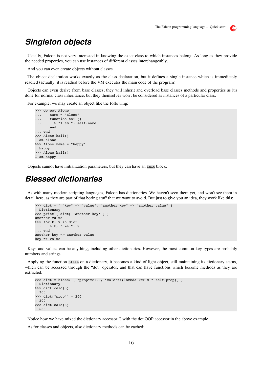#### $\mathbf{E}$

#### **Singleton objects**

Usually, Falcon is not very interested in knowing the exact class to which instances belong. As long as they provide the needed properties, you can use instances of different classes interchangeably.

And you can even create objects without classes.

The object declaration works exactly as the class declaration, but it defines a single instance which is immediately readied (actually, it is readied before the VM executes the main code of the program).

Objects can even derive from base classes; they will inherit and overload base classes methods and properties as it's done for normal class inheritance, but they themselves won't be considered as instances of a particular class.

For example, we may create an object like the following:

```
>>> object Alone
...    name = "alone"
... function hail()
\ldots > "I am ", self.name
...    end
... end
>>> Alone.hail()
I am alone
>>> Alone.name = "happy"
: happy
>>> Alone.hail()
I am happy
```
Objects cannot have initialization parameters, but they can have an init block.

#### **Blessed dictionaries**

As with many modern scripting languages, Falcon has dictionaries. We haven't seen them yet, and won't see them in detail here, as they are part of that boring stuff that we want to avoid. But just to give you an idea, they work like this:

```
>>> dict = [ "key" => "value", "another key" => "another value" ]
: Dictionary
>>> printl( dict[ 'another key' ] )
another value
>>> for k, v in dict
... > k, " => " , v... end
another key => another value
key => value
```
Keys and values can be anything, including other dictionaries. However, the most common key types are probably numbers and strings.

Applying the function bless on a dictionary, it becomes a kind of light object, still maintaining its dictionary status, which can be accessed through the "dot" operator, and that can have functions which become methods as they are extracted.

```
>>> dict = bless( [ "prop"=>100, "calc"=>(lambda x=> x * self.prop)] )
: Dictionary
>>> dict.calc(3)
: 300
>>> dict["prop"] = 200
: 200
>>> dict.calc(3)
: 600
```
Notice how we have mixed the dictionary accessor [] with the dot OOP accessor in the above example.

As for classes and objects, also dictionary methods can be cached: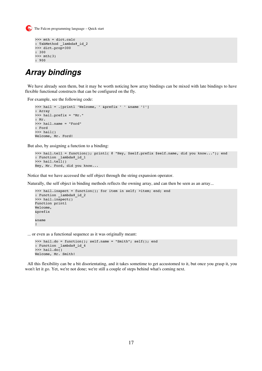

```
>>> mth = dict.calc
: TabMethod _lambda#_id_2
>>> dict.prop=300
: 300
>>> mth(3)
: 900
```
## **Array bindings**

We have already seen them, but it may be worth noticing how array bindings can be mixed with late bindings to have flexible functional constructs that can be configured on the fly.

For example, see the following code:

```
>>> hail = .[printl 'Welcome, ' &prefix ' ' &name '!']
: Array
>>> hail.prefix = "Mr."
: Mr.
>>> hail.name = "Ford"
: Ford
>>> hail()
Welcome, Mr. Ford!
```
But also, by assigning a function to a binding:

```
>>> hail.tell = function(); printl( @ "Hey, $self.prefix $self.name, did you know..."); end
: Function _lambda#_id_1
>>> hail.tell()
Hey, Mr. Ford, did you know...
```
Notice that we have accessed the self object through the string expansion operator.

Naturally, the self object in binding methods reflects the owning array, and can then be seen as an array...

```
>>> hail.inspect = function(); for item in self; >item; end; end
: Function _lambda#_id_2
>>> hail.inspect()
Function printl
Welcome,
&prefix
&name
!
```
... or even as a functional sequence as it was originally meant:

```
>>> hail.do = function(); self.name = "Smith"; self(); end
: Function _lambda#_id_4
\gg> hail.do()
Welcome, Mr. Smith!
```
All this flexibility can be a bit disorientating, and it takes sometime to get accustomed to it, but once you grasp it, you won't let it go. Yet, we're not done; we're still a couple of steps behind what's coming next.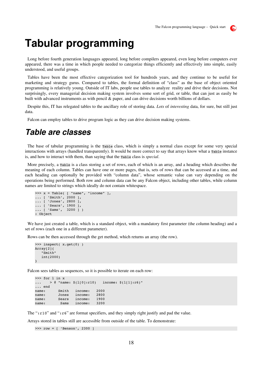

## **Tabular programming**

Long before fourth generation languages appeared, long before compilers appeared, even long before computers ever appeared, there was a time in which people needed to categorize things efficiently and effectively into simple, easily understood, and useful groups.

Tables have been the most effective categorization tool for hundreds years, and they continue to be useful for marketing and strategy gurus. Compared to tables, the formal definition of "class" as the base of object oriented programming is relatively young. Outside of IT labs, people use tables to analyze reality and drive their decisions. Not surprisingly, every managerial decision making system involves some sort of grid, or table, that can just as easily be built with advanced instruments as with pencil & paper, and can drive decisions worth billions of dollars.

Despite this, IT has relegated tables to the ancillary role of storing data. *Lots* of *interesting* data, for sure, but still just data.

Falcon can employ tables to drive program logic as they can drive decision making systems.

#### **Table are classes**

The base of tabular programming is the Table class, which is simply a normal class except for some very special interactions with arrays (handled transparently). It would be more correct to say that arrays know what a Table instance is, and how to interact with them, than saying that the Table class is *special*.

More precisely, a Table is a class storing a set of rows, each of which is an array, and a heading which describes the meaning of each column. Tables can have one or more pages, that is, sets of rows that can be accessed at a time, and each heading can optionally be provided with "column data", whose semantic value can vary depending on the operations being performed. Both row and column data can be any Falcon object, including other tables, while column names are limited to strings which ideally do not contain whitespace.

```
\gg x = Table( [ "name", "income" ],
... [ 'Smith', 2000 ],
... [ 'Jones', 2800 ],
... [ 'Sears', 1900 ],
... [ 'Sams',  3200 ] )
: Object
```
We have just created a table, which is a standard object, with a mandatory first parameter (the column heading) and a set of rows (each one in a different parameter).

Rows can be then accessed through the get method, which returns an array (the row).

```
>>> inspect( x.get(0) )
Array[2]{
      "Smith"
      int(2000)
}
```
Falcon sees tables as sequences, so it is possible to iterate on each row:

```
>>> for l in x
... > 0 "name: \S(1[0]:r10) income: \S(1[1]:r6)"
... end
name: Smith income: 2000
name: Jones income: 2800
name: Sears income: 1900<br>name: Sams income: 3200
name: Sams income:
```
The ":r10" and ":r6" are format specifiers, and they simply right justify and pad the value.

Arrays stored in tables still are accessible from outside of the table. To demonstrate:

```
>>> row = [ 'Benson', 2300 ]
```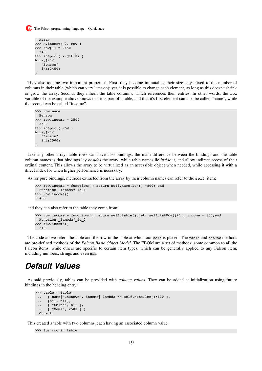

```
: Array
>>> x.insert( 0, row )
>> row[1] = 2450
: 2450
>>> inspect( x.get(0) )
Array[2]{
      "Benson"
      int(2450)
}
```
They also assume two important properties. First, they become immutable; their size stays fixed to the number of columns in their table (which can vary later on); yet, it is possible to change each element, as long as this doesn't shrink or grow the array. Second, they inherit the table columns, which references their entries. In other words, the row variable of the example above knows that it is part of a table, and that it's first element can also be called "name", while the second can be called "income".

```
>>> row.name
: Benson
>>> row.income = 2500
: 2500
>>> inspect( row )
Array[2]{
      "Benson"
      int(2500)
}
```
Like any other array, table rows can have also bindings; the main difference between the bindings and the table column names is that bindings lay *besides* the array, while table names lie *inside* it, and allow indirect access of their ordinal content. This allows the array to be virtualized as an accessible object when needed, while accessing it with a direct index for when higher performance is necessary.

As for pure bindings, methods extracted from the array by their column names can refer to the self item;

```
>>> row.income = function(); return self.name.len() *800; end
: Function _lambda#_id_1
>>> row.income()
: 4800
```
and they can also refer to the table they come from:

```
>>> row.income = function(); return self.table().get( self.tabRow()+1 ).income + 100;end
: Function lambda# id 2
>>> row.income()
: 2100
```
The code above refers the table and the row in the table at which our self is placed. The table and tabRow methods are pre-defined methods of the *Falcon Basic Object Model.* The FBOM are a set of methods, some common to all the Falcon items, while others are specific to certain item types, which can be generally applied to any Falcon item, including numbers, strings and even nil.

#### **Default Values**

As said previously, tables can be provided with *column values*. They can be added at initialization using future bindings in the heading entry:

```
>>> table = Table(
... [ name|"unknown", income| lambda => self.name.len()*100 ],
...   [nil, nil],
...   [ "Smith", nil ],
...   [ "Sams", 2500 ] )
: Object
```
This created a table with two columns, each having an associated column value.

```
>>> for row in table
```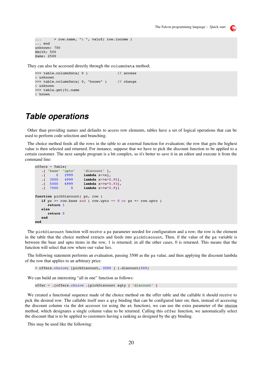```
\ldots > row.name, ": ", valof( row.income )
... end
unknown: 700
Smith: 500
Sams: 2500
```
They can also be accessed directly through the columnData method;

```
>>> table.columnData( 0 )              // access
: unknown
>>> table.columnData( 0, "known" ) // change
: unknown
>>> table.get(0).name
: known
```
#### **Table operations**

Other than providing names and defaults to access row elements, tables have a set of logical operations that can be used to perform code selection and branching.

The choice method feeds all the rows in the table to an external function for evaluation; the row that gets the highest value is then selected and returned. For instance, suppose that we have to pick the discount function to be applied to a certain customer. The next sample program is a bit complex, so it's better to save it in an editor and execute it from the command line:

```
offers = Table(
      .[ 'base' 'upto'    'discount' ],
      .[     0   2999     lambda x=>x],
         .[  3000   4999     lambda x=>x*0.95],
      .[  5000   6999     lambda x=>x*0.93],
                   \bf{0} Lambda x = > x * 0.91function pickDiscount( pz, row )
   if pz \geq row \ base and ( row.upto == 0 or pz \leq row \ upto)
            return 1
      else
            return 0
      end
end
```
The pickDiscount function will receive a pz parameter needed for configuration and a row; the row is the element in the table that the choice method extracts and feeds into pickDiscount, Then, if the value of the pz variable is between the base and upto items in the row, 1 is returned; in all the other cases, 0 is returned. This means that the function will select that row where our value lies.

The following statement performs an evaluation, passing 3500 as the pz value, and then applying the discount lambda of the row that applies to an arbitrary price.

> offers.*choice*( [pickDiscount, 3500 ] ).discount(500)

We can build an interesting "all in one" function as follows:

offer = **.[**offers.*choice* **.[**pickDiscount &qty **]** 'discount' **]**

We created a functional sequence made of the choice method on the offer table and the callable it should receive to pick the desired row. The callable itself uses a qty binding that can be configured later on; then, instead of accessing the discount column via the dot accessor (or using the at function), we can use the extra parameter of the choice method, which designates a single column value to be returned. Calling this offer function, we automatically select the discount that is to be applied to customers having a ranking as designed by the qty binding.

This may be used like the following: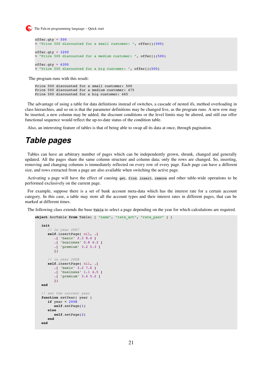```
offer.gety = 500> "Price 500 discounted for a small customer: ", offer()(500)
offer.gety = 3200> "Price 500 discounted for a medium customer: ", offer()(500)
offer.gety = 6300> "Price 500 discounted for a big customer: ", offer()(500)
```
The program runs with this result:

Price 500 discounted for a small customer: 500 Price 500 discounted for a medium customer: 475 Price 500 discounted for a big customer: 465

The advantage of using a table for data definitions instead of switches, a cascade of nested ifs, method overloading in class hierarchies, and so on is that the parameter definitions may be changed live, as the program runs. A new row may be inserted, a new column may be added, the discount conditions or the level limits may be altered, and still our offer functional sequence would reflect the up-to-date status of the condition table.

Also, an interesting feature of tables is that of being able to swap all its data at once, through pagination.

#### **Table pages**

Tables can have an arbitrary number of pages which can be independently grown, shrunk, changed and generally updated. All the pages share the same column structure and column data; only the rows are changed. So, inserting, removing and changing columns is immediately reflected on every row of every page. Each page can have a different size, and rows extracted from a page are also available when switching the active page.

Activating a page will have the effect of causing get, find, insert, remove and other table-wide operations to be performed exclusively on the current page.

For example, suppose there is a set of bank account meta-data which has the interest rate for a certain account category. In this case, a table may store all the account types and their interest rates in different pages, that can be marked at different times.

The following class extends the base Table to select a page depending on the year for which calculations are required.

```
object AccTable from Table( [ "name", "rate_act", "rate_pasv" ] )
      init
              // in year 2007
              self.insertPage( nil, .[
                     .[ 'basic' 2.3 8.4 ]
                     .[ 'business' 0.8 4.2 ]
                     .[ 'premium' 3.2 5.3 ]
                     ])
              // in year 2008
              self.insertPage( nil, .[
                     .[ 'basic' 3.2 7.6 ]
                     .[ 'business' 1.1 4.5 ]
                     .[ 'premium' 3.4 5.2 ]
                     ])
      end
       // set the current year
   function setYear ( year )
              if year < 2008
                     self.setPage(1)
              else
                     self.setPage(2)
              end
      end
```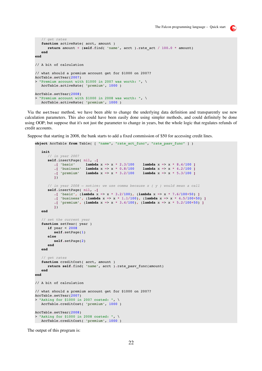```
   // get rates
   function activeRate( acct, amount )
            return amount + (self.find( 'name', acct ).rate_act / 100.0 * amount)
      end
// A bit of calculation
// what should a premium account get for $1000 on 2007?
AccTable.setYear(2007)
> "Premium account with $1000 in 2007 was worth: ", \setminus   AccTable.activeRate( 'premium', 1000 )
AccTable.setYear(2008)
> "Premium account with $1000 in 2008 was worth: ", \
```
Via the setYear method, we have been able to change the underlying data definition and transparently use new calculation parameters. This also could have been easily done using simpler methods, and could definitely be done using OOP; but suppose that it's not just the parameter to change in years, but the whole logic that regulates refunds of credit accounts.

Suppose that starting in 2008, the bank starts to add a fixed commission of \$50 for accessing credit lines.

AccTable.activeRate( 'premium', 1000 )

```
object AccTable from Table( [ "name", "rate act func", "rate pasv func" ] )
      init
             // in year 2007
       self.insertPage( nil, .[<br>.[ 'basic' lambda x \Rightarrow x * 2.3/100         .[ 'basic'     lambda x => x * 2.3/100    lambda x => x * 8.4/100 ]
           . [ 'business' lambda x = > x * 0.8/100 lambda x = > x * 4.2/100 ]<br>. [ 'premium' lambda x = > x * 3.2/100 lambda x = > x * 5.3/100 ]
                           lambda x \implies x * 3.2/100         ])
             // in year 2008 – notice: we use comma because x ( y ) would mean a call
             self.insertPage( nil, .[
                    .[ 'basic', (lambda x => x * 3.2/100), (lambda x => x * 7.6/100+50) ]
                    .[ 'business', (lambda x => x * 1.1/100), (lambda x => x * 4.5/100+50) ]
                    .[ 'premium', (lambda x => x * 3.4/100), (lambda x => x * 5.2/100+50) ]
                    ])
      end
      // set the current year
   function setYear<sub>( year )</sub>
            if year < 2008
                   self.setPage(1)
             else
                   self.setPage(2)
             end
      end
      // get rates
   function creditCost( acct, amount )
            return self.find( 'name', acct ).rate_pasv_func(amount)
      end
end
// A bit of calculation
// what should a premium account get for $1000 on 2007?
AccTable.setYear(2007)
> "Asking for $1000 in 2007 costed: ", \
      AccTable.creditCost( 'premium', 1000 )
AccTable.setYear(2008)
> "Asking for $1000 in 2008 costed: ", \
     AccTable.creditCost( 'premium', 1000 )
```
The output of this program is:

**end**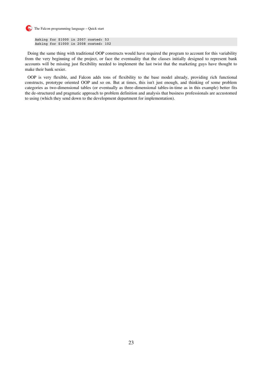

Asking for \$1000 in 2007 costed: 53 Asking for \$1000 in 2008 costed: 102

Doing the same thing with traditional OOP constructs would have required the program to account for this variability from the very beginning of the project, or face the eventuality that the classes initially designed to represent bank accounts will be missing just flexibility needed to implement the last twist that the marketing guys have thought to make their bank sexier.

OOP is very flexible, and Falcon adds tons of flexibility to the base model already, providing rich functional constructs, prototype oriented OOP and so on. But at times, this isn't just enough, and thinking of some problem categories as two-dimensional tables (or eventually as three-dimensional tables-in-time as in this example) better fits the de-structured and pragmatic approach to problem definition and analysis that business professionals are accustomed to using (which they send down to the development department for implementation).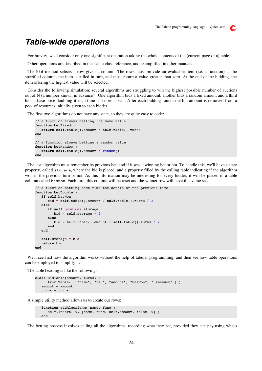#### **Table-wide operations**

For brevity, we'll consider only one significant operation taking the whole contents of the (current page of a) table.

Other operations are described in the Table class reference, and exemplified in other manuals.

The bid method selects a row given a column. The rows must provide an evaluable item (i.e. a function) at the specified column; the item is called in turn, and must return a value greater than zero. At the end of the bidding, the item offering the highest value will be selected.

Consider the following simulation: several algorithms are struggling to win the highest possible number of auctions out of N (a number known in advance). One algorithm bids a fixed amount, another bids a random amount and a third bids a base price doubling it each time if it doesn't win. After each bidding round, the bid amount is removed from a pool of resources initially given to each bidder.

The first two algorithms do not have any state, so they are quite easy to code:

```
// a function always betting the same value
function betFixed()
     return self.table().amount / self.table().turns
end
// a function always betting a random value
function betRandom()
     return self.table().amount * random()
end
```
The last algorithm must remember its previous bet, and if it was a winning bet or not. To handle this, we'll have a state property, called storage, where the bid is placed, and a property filled by the calling table indicating if the algorithm won in the previous turn or not. As this information may be interesting for every bidder, it will be placed in a table column called hasWon. Each turn, this column will be reset and the winner row will have this value set.

```
// a function betting each time the double of the previous time
function betDouble()
      if self.hasWon
             bid = self.table().amount / self.table().turns / 2
      else
             if self provides storage
                   bid = self.storage * 2
             else
                   bid = self.table().amount / self.table().turns / 2
             end
      end
      self.storage = bid
      return bid
end
```
We'll see first how the algorithm works without the help of tabular programming, and then see how table operations can be employed to simplify it.

The table heading is like the following:

```
class BidTable(amount, turns) \
      from Table( [ "name", "bet", "amount", "hasWon", "timesWon" ] )
  amount = amount   turns = turns
```
A simple utility method allows us to create our rows:

```
function addAlgorithm( name, func
   self.insert( 0, [name, func, self.amount, false, 0] )
   end
```
The betting process involves calling all the algorithms, recording what they bet, provided they can pay using what's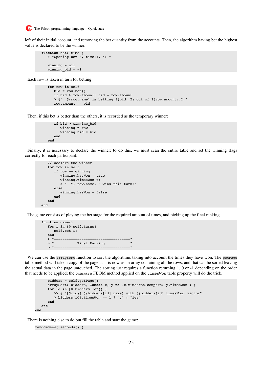

left of their initial account, and removing the bet quantity from the accounts. Then, the algorithm having bet the highest value is declared to be the winner:

```
   function bet( time )
         > "Opening bet ", time+1, ": "
         winning = nil
   winning bid = -1
```
Each row is taken in turn for betting:

```
      for row in self
   bid = row.bet()         if bid > row.amount: bid = row.amount
            > @"  $(row.name) is betting $(bid:.2) out of $(row.amount:.2)"
            row.amount = bid
```
Then, if this bet is better than the others, it is recorded as the temporary winner:

```
         if bid > winning_bid
                      winning = row
                       winning_bid = bid
              end
      end
```
Finally, it is necessary to declare the winner; to do this, we must scan the entire table and set the winning flags correctly for each participant:

```
      // declare the winner
          for row in self
                 if row == winning
                         winning.hasWon = true
                         winning.timesWon ++
                         > "  ", row.name, " wins this turn!"
                  else
                         winning.hasWon = false
                  end
          end
   end
```
The game consists of playing the bet stage for the required amount of times, and picking up the final ranking.

```
   function game()
         for i in [0:self.turns]
               self.bet(i)
         end
         > "===================================="
                 Find Ranking "      > "===================================="
```
We can use the arraySort function to sort the algorithms taking into account the times they have won. The getPage table method will take a copy of the page as it is now as an array containing all the rows, and that can be sorted leaving the actual data in the page untouched. The sorting just requires a function returning 1, 0 or -1 depending on the order that needs to be applied; the compare FBOM method applied on the timesWon table property will do the trick.

```
      bidders = self.getPage()
      arraySort( bidders, lambda x, y => -x.timesWon.compare( y.timesWon ) )
            for id in [0:bidders.len() ]
                   >> @ "[$(id)] $(bidders[id].name) with $(bidders[id].timesWon) victor"
                   > bidders[id].timesWon == 1 ? "y" : "ies"
            end
      end
end
```
There is nothing else to do but fill the table and start the game:

```
randomSeed( seconds() )
```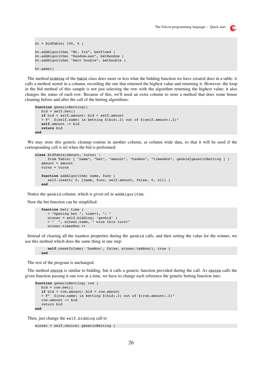```
bt = BidTable( 100, 6)bt.addAlgorithm( "Mr. fix", betFixed )
bt.addAlgorithm( "Random-san", betRandom )
bt.addAlgorithm( "Herr Double", betDouble )
bt.game()
```
The method bidding of the Table class does more or less what the bidding function we have created does in a table: it calls a method stored in a column, recording the one that returned the highest value and returning it. However, the loop in the bid method of this sample is not just selecting the row with the algorithm returning the highest value; it also changes the status of each row. Because of this, we'll need an extra column to store a method that does some house cleaning before and after the call of the betting algorithms:

```
function genericBetting()
   bid = self.bet()   if bid > self.amount: bid = self.amount
      > @"  $(self.name) is betting $(bid:.2) out of $(self.amount:.2)"
      self.amount = bid
      return bid
end
```
We may store this generic cleanup routine in another column, as column wide data, so that it will be used if the corresponding cell is nil when the bid is performed:

```
class BidTable(amount, turns) \
            from Table( [ "name", "bet", "amount", "hasWon", "timesWon", genbid|genericBetting ] )
   amount = amount   turns = turns
      function addAlgorithm( name, func )
            self.insert( 0, [name, func, self.amount, false, 0, nil] )
      end
```
Notice the genbid column, which is given nil in addAlgorithm.

Now the bet function can be simplified:

```
   function bet( time )
            > "Opening bet ", time+1, ": "
      winner = self.bidding( 'genbid' )
      > "  ", winner.name, " wins this turn!"
            winner.timesWon ++
```
Instead of clearing all the hasWon properties during the genbid calls, and then setting the value for the winner, we use this method which does the same thing in one step:

```
      self.resetColumn( 'hasWon', false, winner.tabRow(), true )
   end
```
The rest of the program is unchanged.

The method choice is similar to bidding, but it calls a generic function provided during the call. As choice calls the given function passing it one row at a time, we have to change each reference the generic betting function into:

```
function genericBetting( row )
   bid = row.bet()   if bid > row.amount: bid = row.amount
      > @"  $(row.name) is betting $(bid:.2) out of $(row.amount:.2)"
      row.amount = bid
      return bid
end
```
Then, just change the self.bidding call to

```
winner = self.choice( genericBetting )
```